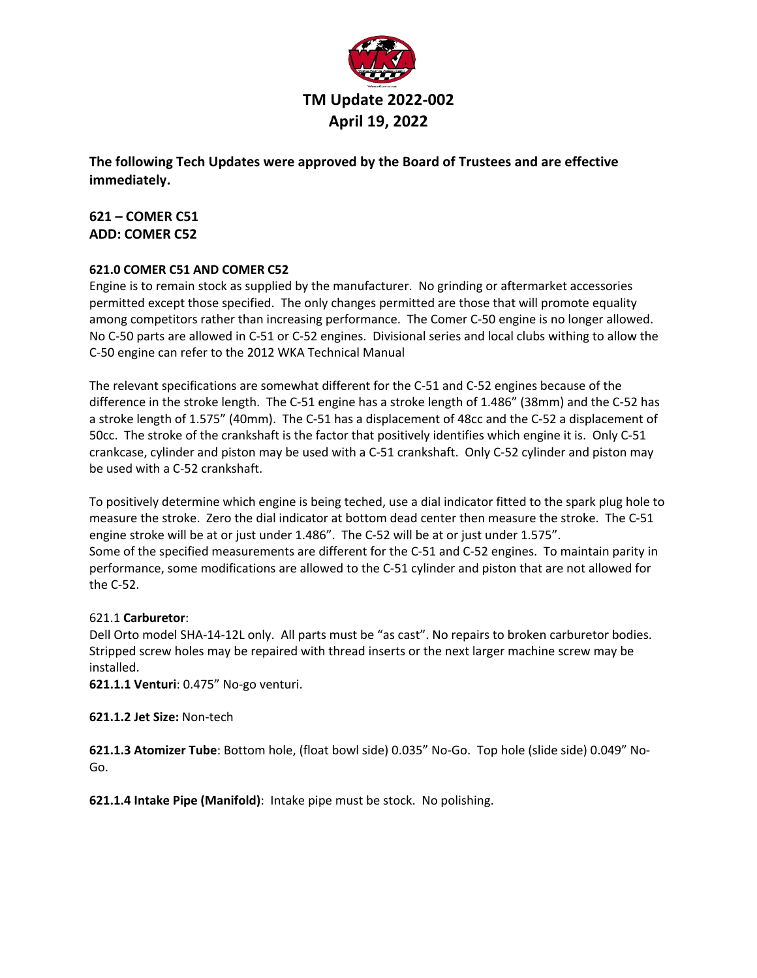

**The following Tech Updates were approved by the Board of Trustees and are effective immediately.**

**621 – COMER C51 ADD: COMER C52**

## **621.0 COMER C51 AND COMER C52**

Engine is to remain stock as supplied by the manufacturer. No grinding or aftermarket accessories permitted except those specified. The only changes permitted are those that will promote equality among competitors rather than increasing performance. The Comer C-50 engine is no longer allowed. No C-50 parts are allowed in C-51 or C-52 engines. Divisional series and local clubs withing to allow the C-50 engine can refer to the 2012 WKA Technical Manual

The relevant specifications are somewhat different for the C-51 and C-52 engines because of the difference in the stroke length. The C-51 engine has a stroke length of 1.486" (38mm) and the C-52 has a stroke length of 1.575" (40mm). The C-51 has a displacement of 48cc and the C-52 a displacement of 50cc. The stroke of the crankshaft is the factor that positively identifies which engine it is. Only C-51 crankcase, cylinder and piston may be used with a C-51 crankshaft. Only C-52 cylinder and piston may be used with a C-52 crankshaft.

To positively determine which engine is being teched, use a dial indicator fitted to the spark plug hole to measure the stroke. Zero the dial indicator at bottom dead center then measure the stroke. The C-51 engine stroke will be at or just under 1.486". The C-52 will be at or just under 1.575". Some of the specified measurements are different for the C-51 and C-52 engines. To maintain parity in performance, some modifications are allowed to the C-51 cylinder and piston that are not allowed for the C-52.

## 621.1 **Carburetor**:

Dell Orto model SHA-14-12L only. All parts must be "as cast". No repairs to broken carburetor bodies. Stripped screw holes may be repaired with thread inserts or the next larger machine screw may be installed.

**621.1.1 Venturi**: 0.475" No-go venturi.

## **621.1.2 Jet Size:** Non-tech

**621.1.3 Atomizer Tube**: Bottom hole, (float bowl side) 0.035" No-Go. Top hole (slide side) 0.049" No-Go.

**621.1.4 Intake Pipe (Manifold)**: Intake pipe must be stock. No polishing.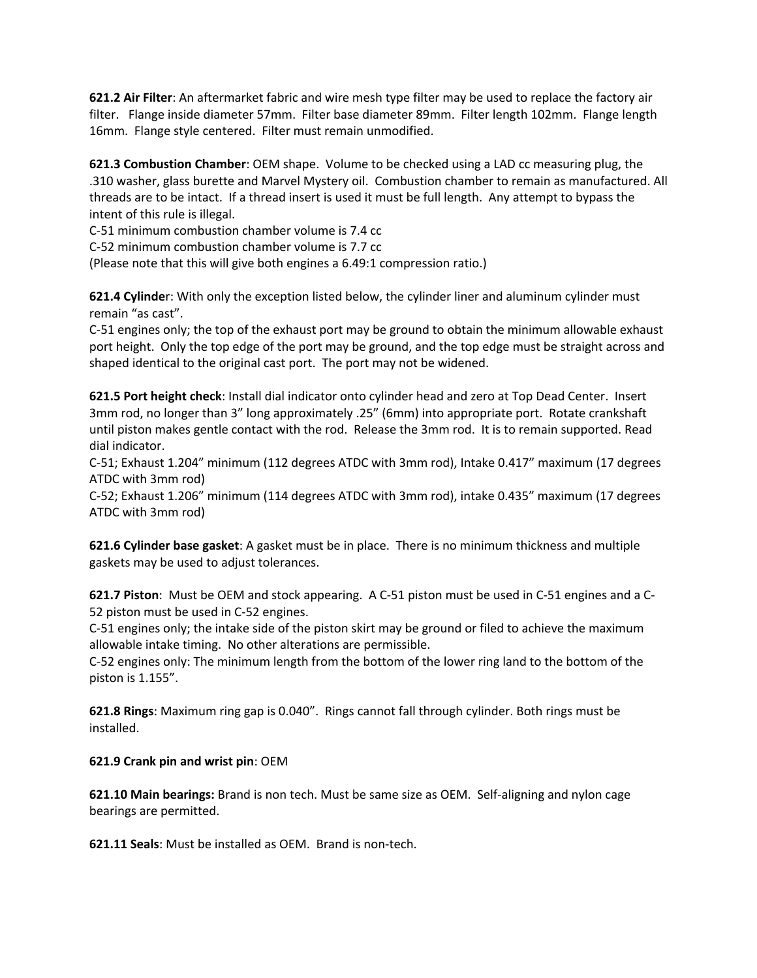**621.2 Air Filter**: An aftermarket fabric and wire mesh type filter may be used to replace the factory air filter. Flange inside diameter 57mm. Filter base diameter 89mm. Filter length 102mm. Flange length 16mm. Flange style centered. Filter must remain unmodified.

**621.3 Combustion Chamber**: OEM shape. Volume to be checked using a LAD cc measuring plug, the .310 washer, glass burette and Marvel Mystery oil. Combustion chamber to remain as manufactured. All threads are to be intact. If a thread insert is used it must be full length. Any attempt to bypass the intent of this rule is illegal.

C-51 minimum combustion chamber volume is 7.4 cc

C-52 minimum combustion chamber volume is 7.7 cc

(Please note that this will give both engines a 6.49:1 compression ratio.)

**621.4 Cylinde**r: With only the exception listed below, the cylinder liner and aluminum cylinder must remain "as cast".

C-51 engines only; the top of the exhaust port may be ground to obtain the minimum allowable exhaust port height. Only the top edge of the port may be ground, and the top edge must be straight across and shaped identical to the original cast port. The port may not be widened.

**621.5 Port height check**: Install dial indicator onto cylinder head and zero at Top Dead Center. Insert 3mm rod, no longer than 3" long approximately .25" (6mm) into appropriate port. Rotate crankshaft until piston makes gentle contact with the rod. Release the 3mm rod. It is to remain supported. Read dial indicator.

C-51; Exhaust 1.204" minimum (112 degrees ATDC with 3mm rod), Intake 0.417" maximum (17 degrees ATDC with 3mm rod)

C-52; Exhaust 1.206" minimum (114 degrees ATDC with 3mm rod), intake 0.435" maximum (17 degrees ATDC with 3mm rod)

**621.6 Cylinder base gasket**: A gasket must be in place. There is no minimum thickness and multiple gaskets may be used to adjust tolerances.

**621.7 Piston**: Must be OEM and stock appearing. A C-51 piston must be used in C-51 engines and a C-52 piston must be used in C-52 engines.

C-51 engines only; the intake side of the piston skirt may be ground or filed to achieve the maximum allowable intake timing. No other alterations are permissible.

C-52 engines only: The minimum length from the bottom of the lower ring land to the bottom of the piston is 1.155".

**621.8 Rings**: Maximum ring gap is 0.040". Rings cannot fall through cylinder. Both rings must be installed.

## **621.9 Crank pin and wrist pin**: OEM

**621.10 Main bearings:** Brand is non tech. Must be same size as OEM. Self-aligning and nylon cage bearings are permitted.

**621.11 Seals**: Must be installed as OEM. Brand is non-tech.